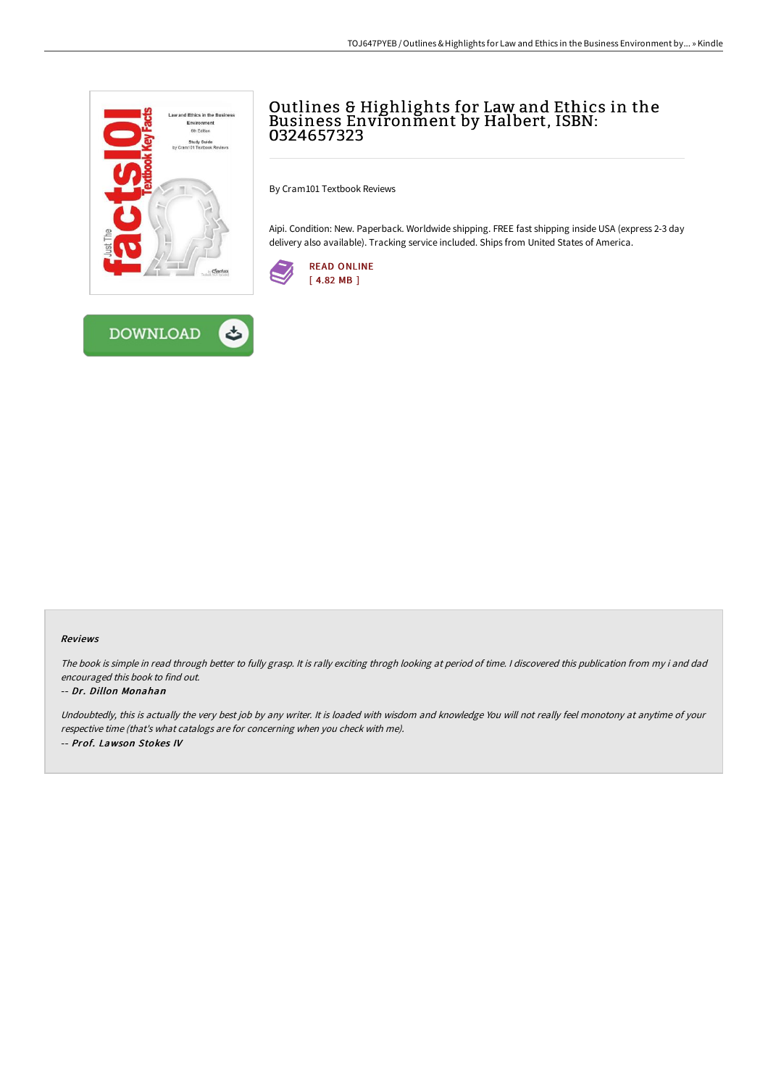



# Outlines & Highlights for Law and Ethics in the Business Environment by Halbert, ISBN: 0324657323

By Cram101 Textbook Reviews

Aipi. Condition: New. Paperback. Worldwide shipping. FREE fast shipping inside USA (express 2-3 day delivery also available). Tracking service included. Ships from United States of America.



### Reviews

The book is simple in read through better to fully grasp. It is rally exciting throgh looking at period of time. <sup>I</sup> discovered this publication from my i and dad encouraged this book to find out.

### -- Dr. Dillon Monahan

Undoubtedly, this is actually the very best job by any writer. It is loaded with wisdom and knowledge You will not really feel monotony at anytime of your respective time (that's what catalogs are for concerning when you check with me). -- Prof. Lawson Stokes IV